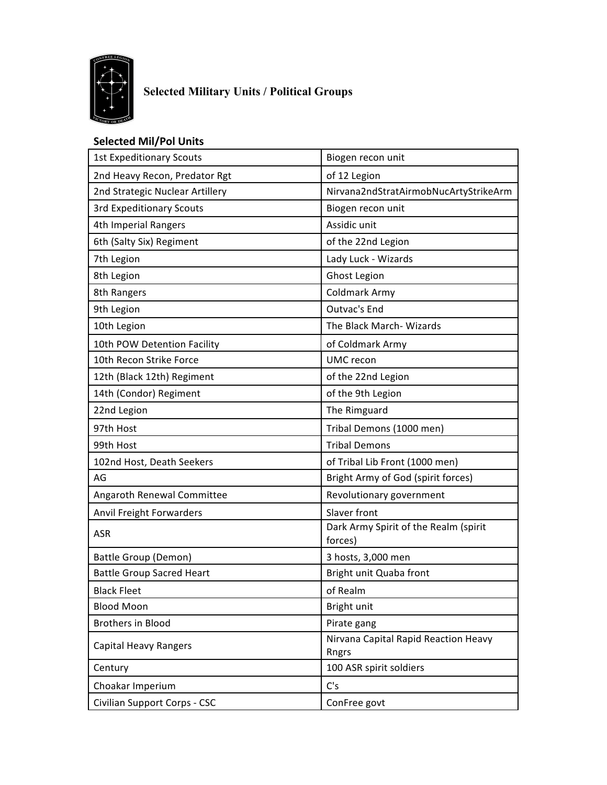

## **Selected Military Units / Political Groups**

## **Selected Mil/Pol Units**

| <b>1st Expeditionary Scouts</b>  | Biogen recon unit                                |
|----------------------------------|--------------------------------------------------|
| 2nd Heavy Recon, Predator Rgt    | of 12 Legion                                     |
| 2nd Strategic Nuclear Artillery  | Nirvana2ndStratAirmobNucArtyStrikeArm            |
| <b>3rd Expeditionary Scouts</b>  | Biogen recon unit                                |
| 4th Imperial Rangers             | Assidic unit                                     |
| 6th (Salty Six) Regiment         | of the 22nd Legion                               |
| 7th Legion                       | Lady Luck - Wizards                              |
| 8th Legion                       | Ghost Legion                                     |
| 8th Rangers                      | Coldmark Army                                    |
| 9th Legion                       | Outvac's End                                     |
| 10th Legion                      | The Black March- Wizards                         |
| 10th POW Detention Facility      | of Coldmark Army                                 |
| 10th Recon Strike Force          | <b>UMC</b> recon                                 |
| 12th (Black 12th) Regiment       | of the 22nd Legion                               |
| 14th (Condor) Regiment           | of the 9th Legion                                |
| 22nd Legion                      | The Rimguard                                     |
| 97th Host                        | Tribal Demons (1000 men)                         |
| 99th Host                        | <b>Tribal Demons</b>                             |
| 102nd Host, Death Seekers        | of Tribal Lib Front (1000 men)                   |
| AG                               | Bright Army of God (spirit forces)               |
| Angaroth Renewal Committee       | Revolutionary government                         |
| Anvil Freight Forwarders         | Slaver front                                     |
| <b>ASR</b>                       | Dark Army Spirit of the Realm (spirit<br>forces) |
| Battle Group (Demon)             | 3 hosts, 3,000 men                               |
| <b>Battle Group Sacred Heart</b> | Bright unit Quaba front                          |
| <b>Black Fleet</b>               | of Realm                                         |
| <b>Blood Moon</b>                | Bright unit                                      |
| <b>Brothers in Blood</b>         | Pirate gang                                      |
| Capital Heavy Rangers            | Nirvana Capital Rapid Reaction Heavy<br>Rngrs    |
| Century                          | 100 ASR spirit soldiers                          |
| Choakar Imperium                 | C's                                              |
| Civilian Support Corps - CSC     | ConFree govt                                     |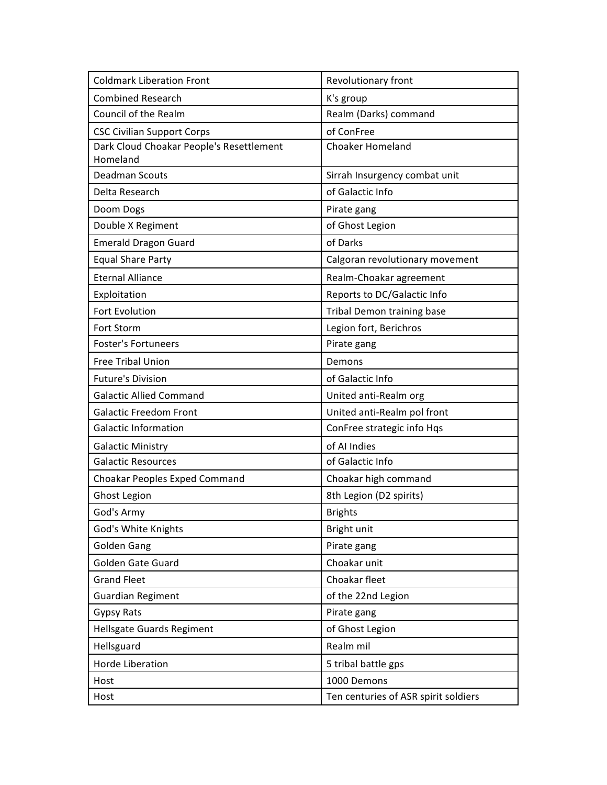| <b>Coldmark Liberation Front</b>         | Revolutionary front                  |
|------------------------------------------|--------------------------------------|
| <b>Combined Research</b>                 | K's group                            |
| Council of the Realm                     | Realm (Darks) command                |
| <b>CSC Civilian Support Corps</b>        | of ConFree                           |
| Dark Cloud Choakar People's Resettlement | <b>Choaker Homeland</b>              |
| Homeland                                 |                                      |
| <b>Deadman Scouts</b>                    | Sirrah Insurgency combat unit        |
| Delta Research                           | of Galactic Info                     |
| Doom Dogs                                | Pirate gang                          |
| Double X Regiment                        | of Ghost Legion                      |
| <b>Emerald Dragon Guard</b>              | of Darks                             |
| <b>Equal Share Party</b>                 | Calgoran revolutionary movement      |
| <b>Eternal Alliance</b>                  | Realm-Choakar agreement              |
| Exploitation                             | Reports to DC/Galactic Info          |
| Fort Evolution                           | Tribal Demon training base           |
| <b>Fort Storm</b>                        | Legion fort, Berichros               |
| <b>Foster's Fortuneers</b>               | Pirate gang                          |
| Free Tribal Union                        | Demons                               |
| <b>Future's Division</b>                 | of Galactic Info                     |
| <b>Galactic Allied Command</b>           | United anti-Realm org                |
| <b>Galactic Freedom Front</b>            | United anti-Realm pol front          |
| <b>Galactic Information</b>              | ConFree strategic info Hqs           |
| <b>Galactic Ministry</b>                 | of AI Indies                         |
| <b>Galactic Resources</b>                | of Galactic Info                     |
| Choakar Peoples Exped Command            | Choakar high command                 |
| <b>Ghost Legion</b>                      | 8th Legion (D2 spirits)              |
| God's Army                               | <b>Brights</b>                       |
| God's White Knights                      | Bright unit                          |
| <b>Golden Gang</b>                       | Pirate gang                          |
| Golden Gate Guard                        | Choakar unit                         |
| <b>Grand Fleet</b>                       | Choakar fleet                        |
| Guardian Regiment                        | of the 22nd Legion                   |
| <b>Gypsy Rats</b>                        | Pirate gang                          |
| <b>Hellsgate Guards Regiment</b>         | of Ghost Legion                      |
| Hellsguard                               | Realm mil                            |
| Horde Liberation                         | 5 tribal battle gps                  |
| Host                                     | 1000 Demons                          |
| Host                                     | Ten centuries of ASR spirit soldiers |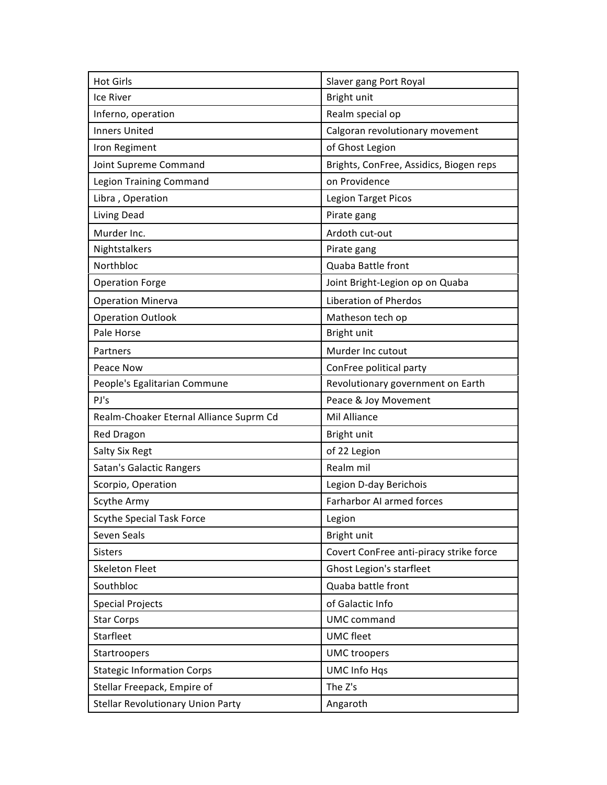| <b>Hot Girls</b>                        | Slaver gang Port Royal                  |
|-----------------------------------------|-----------------------------------------|
| Ice River                               | Bright unit                             |
| Inferno, operation                      | Realm special op                        |
| <b>Inners United</b>                    | Calgoran revolutionary movement         |
| Iron Regiment                           | of Ghost Legion                         |
| Joint Supreme Command                   | Brights, ConFree, Assidics, Biogen reps |
| Legion Training Command                 | on Providence                           |
| Libra, Operation                        | <b>Legion Target Picos</b>              |
| Living Dead                             | Pirate gang                             |
| Murder Inc.                             | Ardoth cut-out                          |
| Nightstalkers                           | Pirate gang                             |
| Northbloc                               | Quaba Battle front                      |
| <b>Operation Forge</b>                  | Joint Bright-Legion op on Quaba         |
| <b>Operation Minerva</b>                | <b>Liberation of Pherdos</b>            |
| <b>Operation Outlook</b>                | Matheson tech op                        |
| Pale Horse                              | Bright unit                             |
| Partners                                | Murder Inc cutout                       |
| Peace Now                               | ConFree political party                 |
| People's Egalitarian Commune            | Revolutionary government on Earth       |
|                                         |                                         |
| PJ's                                    | Peace & Joy Movement                    |
| Realm-Choaker Eternal Alliance Suprm Cd | Mil Alliance                            |
| Red Dragon                              | Bright unit                             |
| Salty Six Regt                          | of 22 Legion                            |
| Satan's Galactic Rangers                | Realm mil                               |
| Scorpio, Operation                      | Legion D-day Berichois                  |
| Scythe Army                             | Farharbor AI armed forces               |
| <b>Scythe Special Task Force</b>        | Legion                                  |
| Seven Seals                             | Bright unit                             |
| <b>Sisters</b>                          | Covert ConFree anti-piracy strike force |
| <b>Skeleton Fleet</b>                   | Ghost Legion's starfleet                |
| Southbloc                               | Quaba battle front                      |
| <b>Special Projects</b>                 | of Galactic Info                        |
| <b>Star Corps</b>                       | <b>UMC</b> command                      |
| Starfleet                               | <b>UMC</b> fleet                        |
| Startroopers                            | <b>UMC</b> troopers                     |
| <b>Stategic Information Corps</b>       | <b>UMC Info Hqs</b>                     |
| Stellar Freepack, Empire of             | The Z's                                 |